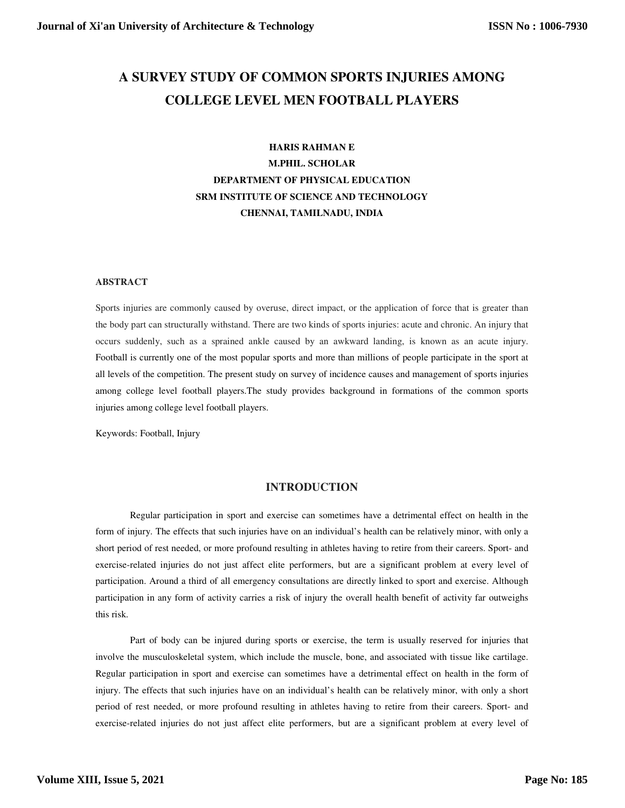# **A SURVEY STUDY OF COMMON SPORTS INJURIES AMONG COLLEGE LEVEL MEN FOOTBALL PLAYERS**

# **HARIS RAHMAN E M.PHIL. SCHOLAR DEPARTMENT OF PHYSICAL EDUCATION SRM INSTITUTE OF SCIENCE AND TECHNOLOGY CHENNAI, TAMILNADU, INDIA**

#### **ABSTRACT**

Sports injuries are commonly caused by overuse, direct impact, or the application of force that is greater than the body part can structurally withstand. There are two kinds of sports injuries: acute and chronic. An injury that occurs suddenly, such as a sprained ankle caused by an awkward landing, is known as an acute injury. Football is currently one of the most popular sports and more than millions of people participate in the sport at all levels of the competition. The present study on survey of incidence causes and management of sports injuries among college level football players.The study provides background in formations of the common sports injuries among college level football players.

Keywords: Football, Injury

#### **INTRODUCTION**

Regular participation in sport and exercise can sometimes have a detrimental effect on health in the form of injury. The effects that such injuries have on an individual's health can be relatively minor, with only a short period of rest needed, or more profound resulting in athletes having to retire from their careers. Sport- and exercise-related injuries do not just affect elite performers, but are a significant problem at every level of participation. Around a third of all emergency consultations are directly linked to sport and exercise. Although participation in any form of activity carries a risk of injury the overall health benefit of activity far outweighs this risk.

Part of body can be injured during sports or exercise, the term is usually reserved for injuries that involve the musculoskeletal system, which include the muscle, bone, and associated with tissue like cartilage. Regular participation in sport and exercise can sometimes have a detrimental effect on health in the form of injury. The effects that such injuries have on an individual's health can be relatively minor, with only a short period of rest needed, or more profound resulting in athletes having to retire from their careers. Sport- and exercise-related injuries do not just affect elite performers, but are a significant problem at every level of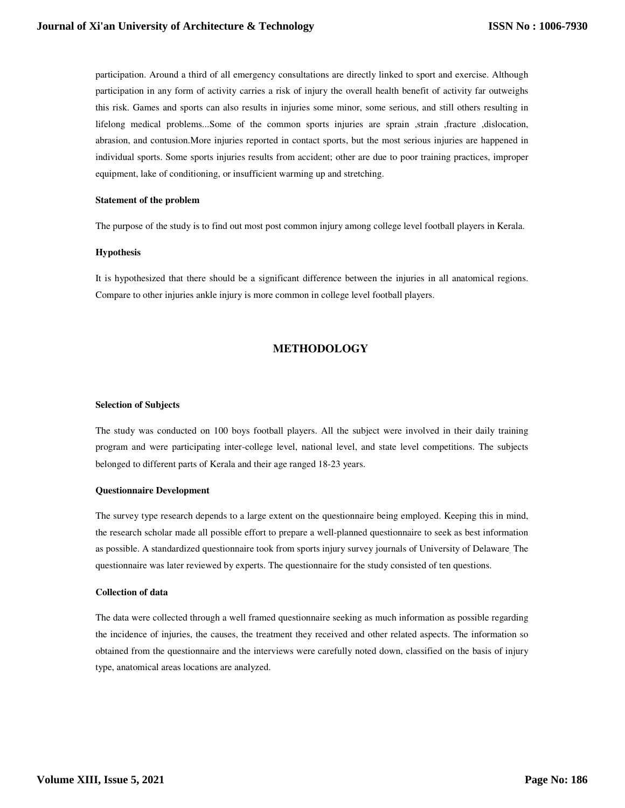participation. Around a third of all emergency consultations are directly linked to sport and exercise. Although participation in any form of activity carries a risk of injury the overall health benefit of activity far outweighs this risk. Games and sports can also results in injuries some minor, some serious, and still others resulting in lifelong medical problems...Some of the common sports injuries are sprain ,tracture ,dislocation, abrasion, and contusion.More injuries reported in contact sports, but the most serious injuries are happened in individual sports. Some sports injuries results from accident; other are due to poor training practices, improper equipment, lake of conditioning, or insufficient warming up and stretching.

#### **Statement of the problem**

The purpose of the study is to find out most post common injury among college level football players in Kerala.

#### **Hypothesis**

It is hypothesized that there should be a significant difference between the injuries in all anatomical regions. Compare to other injuries ankle injury is more common in college level football players.

### **METHODOLOGY**

#### **Selection of Subjects**

The study was conducted on 100 boys football players. All the subject were involved in their daily training program and were participating inter-college level, national level, and state level competitions. The subjects belonged to different parts of Kerala and their age ranged 18-23 years.

#### **Questionnaire Development**

The survey type research depends to a large extent on the questionnaire being employed. Keeping this in mind, the research scholar made all possible effort to prepare a well-planned questionnaire to seek as best information as possible. A standardized questionnaire took from sports injury survey journals of University of Delaware. The questionnaire was later reviewed by experts. The questionnaire for the study consisted of ten questions.

#### **Collection of data**

The data were collected through a well framed questionnaire seeking as much information as possible regarding the incidence of injuries, the causes, the treatment they received and other related aspects. The information so obtained from the questionnaire and the interviews were carefully noted down, classified on the basis of injury type, anatomical areas locations are analyzed.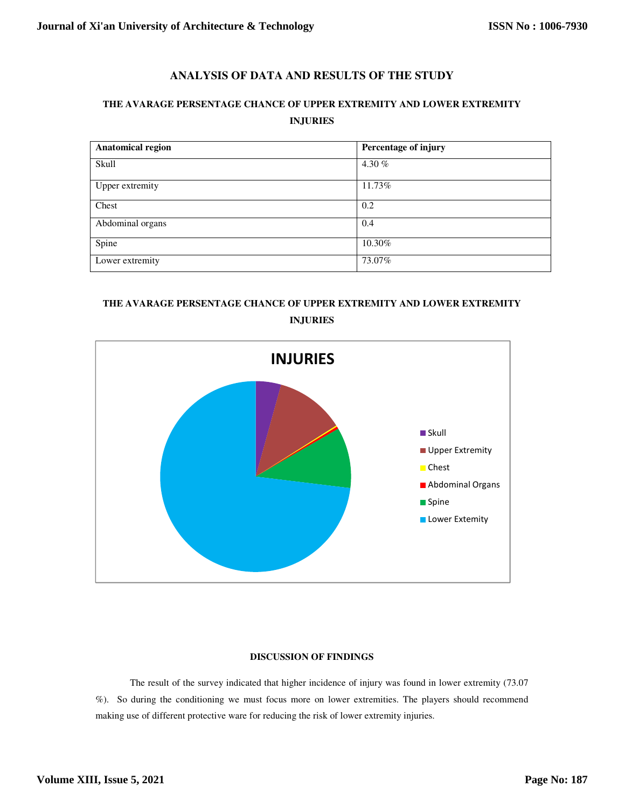### **ANALYSIS OF DATA AND RESULTS OF THE STUDY**

## **THE AVARAGE PERSENTAGE CHANCE OF UPPER EXTREMITY AND LOWER EXTREMITY INJURIES**

| <b>Anatomical region</b> | Percentage of injury |
|--------------------------|----------------------|
| Skull                    | 4.30 $%$             |
| Upper extremity          | 11.73%               |
| Chest                    | 0.2                  |
| Abdominal organs         | 0.4                  |
| Spine                    | 10.30%               |
| Lower extremity          | 73.07%               |

# **THE AVARAGE PERSENTAGE CHANCE OF UPPER EXTREMITY AND LOWER EXTREMITY INJURIES**



#### **DISCUSSION OF FINDINGS**

The result of the survey indicated that higher incidence of injury was found in lower extremity (73.07 %). So during the conditioning we must focus more on lower extremities. The players should recommend making use of different protective ware for reducing the risk of lower extremity injuries.